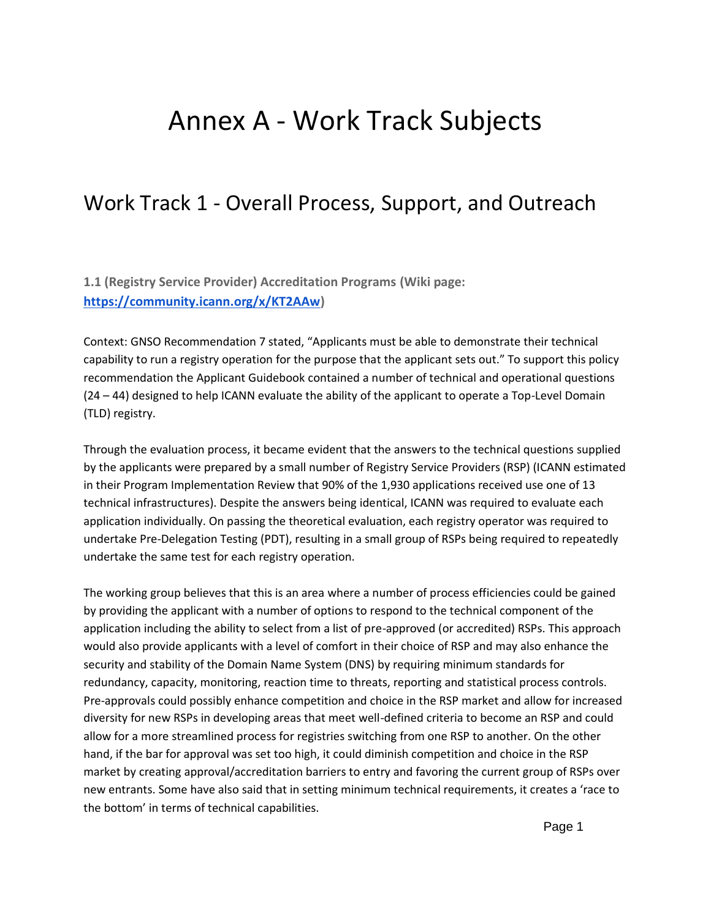# Annex A - Work Track Subjects

## Work Track 1 - Overall Process, Support, and Outreach

**1.1 (Registry Service Provider) Accreditation Programs (Wiki page: [https://community.icann.org/x/KT2AAw\)](https://community.icann.org/x/KT2AAw)**

Context: GNSO Recommendation 7 stated, "Applicants must be able to demonstrate their technical capability to run a registry operation for the purpose that the applicant sets out." To support this policy recommendation the Applicant Guidebook contained a number of technical and operational questions (24 – 44) designed to help ICANN evaluate the ability of the applicant to operate a Top-Level Domain (TLD) registry.

Through the evaluation process, it became evident that the answers to the technical questions supplied by the applicants were prepared by a small number of Registry Service Providers (RSP) (ICANN estimated in their Program Implementation Review that 90% of the 1,930 applications received use one of 13 technical infrastructures). Despite the answers being identical, ICANN was required to evaluate each application individually. On passing the theoretical evaluation, each registry operator was required to undertake Pre-Delegation Testing (PDT), resulting in a small group of RSPs being required to repeatedly undertake the same test for each registry operation.

The working group believes that this is an area where a number of process efficiencies could be gained by providing the applicant with a number of options to respond to the technical component of the application including the ability to select from a list of pre-approved (or accredited) RSPs. This approach would also provide applicants with a level of comfort in their choice of RSP and may also enhance the security and stability of the Domain Name System (DNS) by requiring minimum standards for redundancy, capacity, monitoring, reaction time to threats, reporting and statistical process controls. Pre-approvals could possibly enhance competition and choice in the RSP market and allow for increased diversity for new RSPs in developing areas that meet well-defined criteria to become an RSP and could allow for a more streamlined process for registries switching from one RSP to another. On the other hand, if the bar for approval was set too high, it could diminish competition and choice in the RSP market by creating approval/accreditation barriers to entry and favoring the current group of RSPs over new entrants. Some have also said that in setting minimum technical requirements, it creates a 'race to the bottom' in terms of technical capabilities.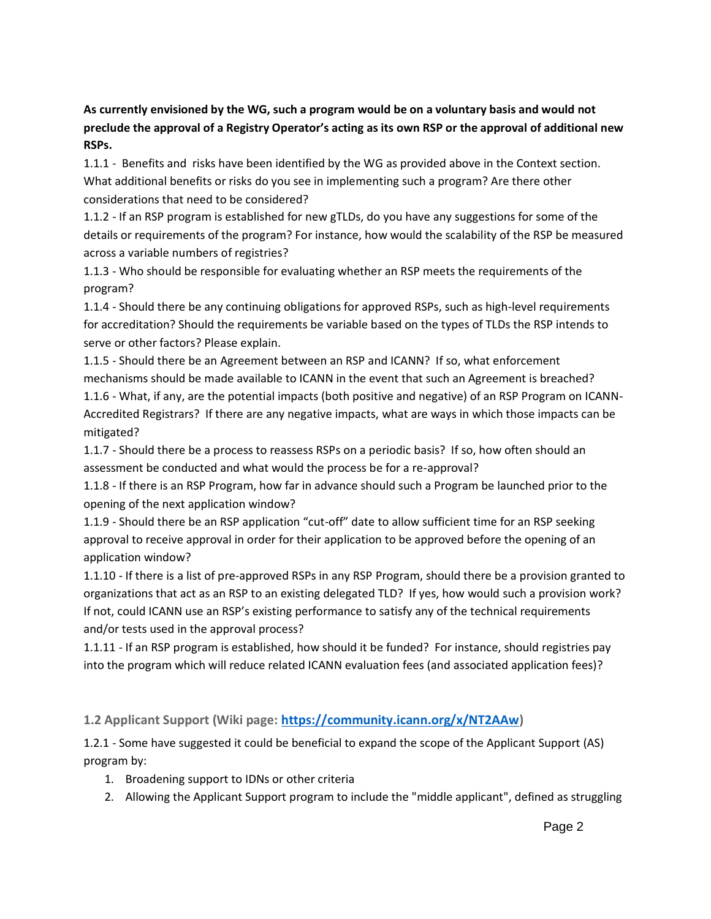**As currently envisioned by the WG, such a program would be on a voluntary basis and would not preclude the approval of a Registry Operator's acting as its own RSP or the approval of additional new RSPs.**

1.1.1 - Benefits and risks have been identified by the WG as provided above in the Context section. What additional benefits or risks do you see in implementing such a program? Are there other considerations that need to be considered?

1.1.2 - If an RSP program is established for new gTLDs, do you have any suggestions for some of the details or requirements of the program? For instance, how would the scalability of the RSP be measured across a variable numbers of registries?

1.1.3 - Who should be responsible for evaluating whether an RSP meets the requirements of the program?

1.1.4 - Should there be any continuing obligations for approved RSPs, such as high-level requirements for accreditation? Should the requirements be variable based on the types of TLDs the RSP intends to serve or other factors? Please explain.

1.1.5 - Should there be an Agreement between an RSP and ICANN? If so, what enforcement mechanisms should be made available to ICANN in the event that such an Agreement is breached?

1.1.6 - What, if any, are the potential impacts (both positive and negative) of an RSP Program on ICANN-Accredited Registrars? If there are any negative impacts, what are ways in which those impacts can be mitigated?

1.1.7 - Should there be a process to reassess RSPs on a periodic basis? If so, how often should an assessment be conducted and what would the process be for a re-approval?

1.1.8 - If there is an RSP Program, how far in advance should such a Program be launched prior to the opening of the next application window?

1.1.9 - Should there be an RSP application "cut-off" date to allow sufficient time for an RSP seeking approval to receive approval in order for their application to be approved before the opening of an application window?

1.1.10 - If there is a list of pre-approved RSPs in any RSP Program, should there be a provision granted to organizations that act as an RSP to an existing delegated TLD? If yes, how would such a provision work? If not, could ICANN use an RSP's existing performance to satisfy any of the technical requirements and/or tests used in the approval process?

1.1.11 - If an RSP program is established, how should it be funded? For instance, should registries pay into the program which will reduce related ICANN evaluation fees (and associated application fees)?

**1.2 Applicant Support (Wiki page: [https://community.icann.org/x/NT2AAw\)](https://community.icann.org/x/NT2AAw)**

1.2.1 - Some have suggested it could be beneficial to expand the scope of the Applicant Support (AS) program by:

- 1. Broadening support to IDNs or other criteria
- 2. Allowing the Applicant Support program to include the "middle applicant", defined as struggling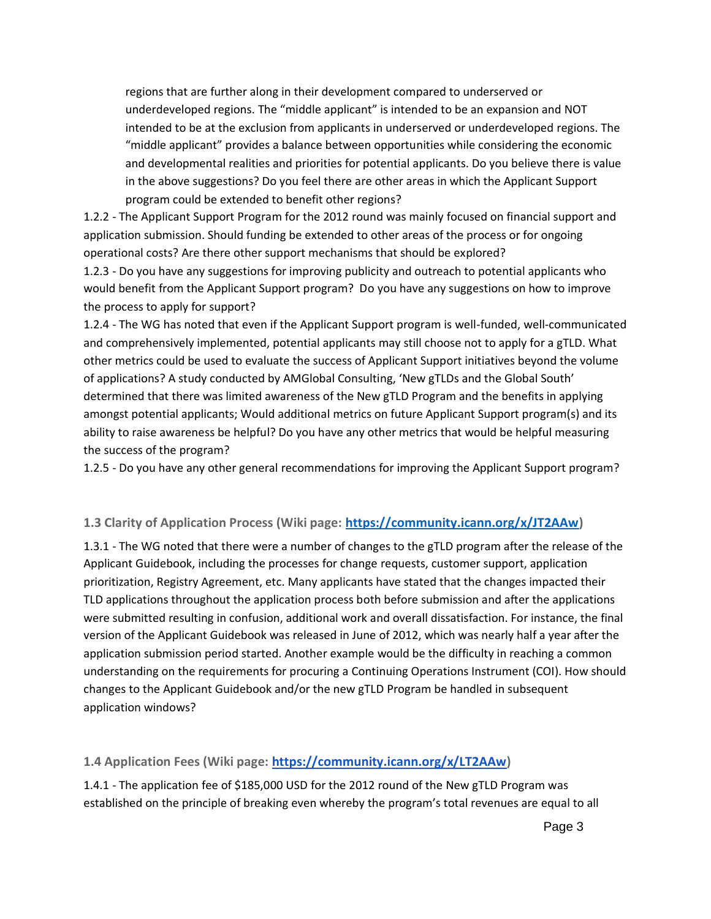regions that are further along in their development compared to underserved or underdeveloped regions. The "middle applicant" is intended to be an expansion and NOT intended to be at the exclusion from applicants in underserved or underdeveloped regions. The "middle applicant" provides a balance between opportunities while considering the economic and developmental realities and priorities for potential applicants. Do you believe there is value in the above suggestions? Do you feel there are other areas in which the Applicant Support program could be extended to benefit other regions?

1.2.2 - The Applicant Support Program for the 2012 round was mainly focused on financial support and application submission. Should funding be extended to other areas of the process or for ongoing operational costs? Are there other support mechanisms that should be explored?

1.2.3 - Do you have any suggestions for improving publicity and outreach to potential applicants who would benefit from the Applicant Support program? Do you have any suggestions on how to improve the process to apply for support?

1.2.4 - The WG has noted that even if the Applicant Support program is well-funded, well-communicated and comprehensively implemented, potential applicants may still choose not to apply for a gTLD. What other metrics could be used to evaluate the success of Applicant Support initiatives beyond the volume of applications? A study conducted by AMGlobal Consulting, 'New gTLDs and the Global South' determined that there was limited awareness of the New gTLD Program and the benefits in applying amongst potential applicants; Would additional metrics on future Applicant Support program(s) and its ability to raise awareness be helpful? Do you have any other metrics that would be helpful measuring the success of the program?

1.2.5 - Do you have any other general recommendations for improving the Applicant Support program?

## **1.3 Clarity of Application Process (Wiki page: [https://community.icann.org/x/JT2AAw\)](https://community.icann.org/x/JT2AAw)**

1.3.1 - The WG noted that there were a number of changes to the gTLD program after the release of the Applicant Guidebook, including the processes for change requests, customer support, application prioritization, Registry Agreement, etc. Many applicants have stated that the changes impacted their TLD applications throughout the application process both before submission and after the applications were submitted resulting in confusion, additional work and overall dissatisfaction. For instance, the final version of the Applicant Guidebook was released in June of 2012, which was nearly half a year after the application submission period started. Another example would be the difficulty in reaching a common understanding on the requirements for procuring a Continuing Operations Instrument (COI). How should changes to the Applicant Guidebook and/or the new gTLD Program be handled in subsequent application windows?

#### **1.4 Application Fees (Wiki page: [https://community.icann.org/x/LT2AAw\)](https://community.icann.org/x/LT2AAw)**

1.4.1 - The application fee of \$185,000 USD for the 2012 round of the New gTLD Program was established on the principle of breaking even whereby the program's total revenues are equal to all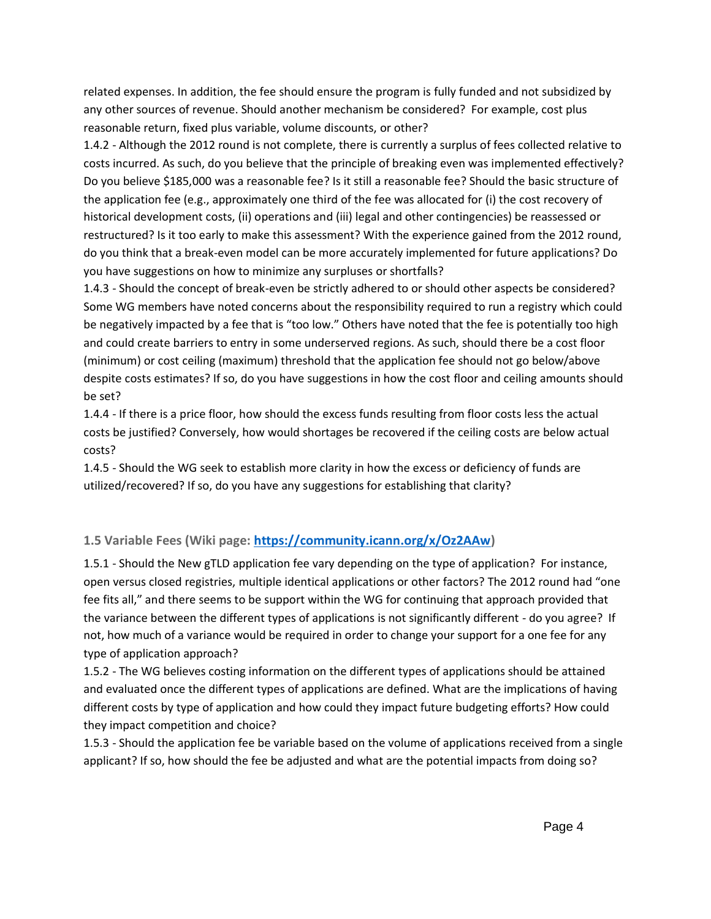related expenses. In addition, the fee should ensure the program is fully funded and not subsidized by any other sources of revenue. Should another mechanism be considered? For example, cost plus reasonable return, fixed plus variable, volume discounts, or other?

1.4.2 - Although the 2012 round is not complete, there is currently a surplus of fees collected relative to costs incurred. As such, do you believe that the principle of breaking even was implemented effectively? Do you believe \$185,000 was a reasonable fee? Is it still a reasonable fee? Should the basic structure of the application fee (e.g., approximately one third of the fee was allocated for (i) the cost recovery of historical development costs, (ii) operations and (iii) legal and other contingencies) be reassessed or restructured? Is it too early to make this assessment? With the experience gained from the 2012 round, do you think that a break-even model can be more accurately implemented for future applications? Do you have suggestions on how to minimize any surpluses or shortfalls?

1.4.3 - Should the concept of break-even be strictly adhered to or should other aspects be considered? Some WG members have noted concerns about the responsibility required to run a registry which could be negatively impacted by a fee that is "too low." Others have noted that the fee is potentially too high and could create barriers to entry in some underserved regions. As such, should there be a cost floor (minimum) or cost ceiling (maximum) threshold that the application fee should not go below/above despite costs estimates? If so, do you have suggestions in how the cost floor and ceiling amounts should be set?

1.4.4 - If there is a price floor, how should the excess funds resulting from floor costs less the actual costs be justified? Conversely, how would shortages be recovered if the ceiling costs are below actual costs?

1.4.5 - Should the WG seek to establish more clarity in how the excess or deficiency of funds are utilized/recovered? If so, do you have any suggestions for establishing that clarity?

## **1.5 Variable Fees (Wiki page: [https://community.icann.org/x/Oz2AAw\)](https://community.icann.org/x/Oz2AAw)**

1.5.1 - Should the New gTLD application fee vary depending on the type of application? For instance, open versus closed registries, multiple identical applications or other factors? The 2012 round had "one fee fits all," and there seems to be support within the WG for continuing that approach provided that the variance between the different types of applications is not significantly different - do you agree? If not, how much of a variance would be required in order to change your support for a one fee for any type of application approach?

1.5.2 - The WG believes costing information on the different types of applications should be attained and evaluated once the different types of applications are defined. What are the implications of having different costs by type of application and how could they impact future budgeting efforts? How could they impact competition and choice?

1.5.3 - Should the application fee be variable based on the volume of applications received from a single applicant? If so, how should the fee be adjusted and what are the potential impacts from doing so?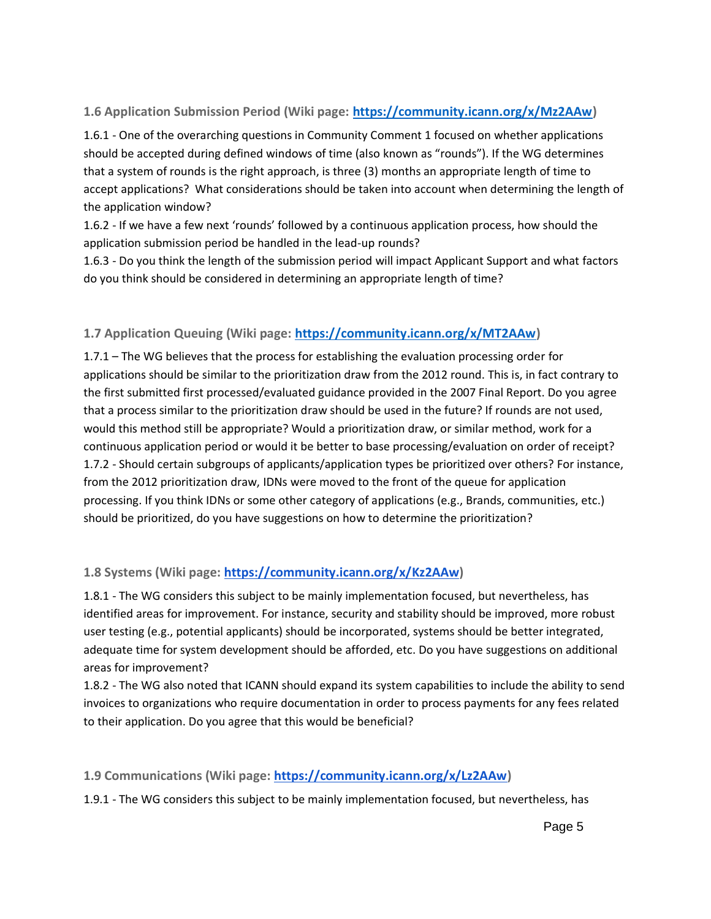## **1.6 Application Submission Period (Wiki page: [https://community.icann.org/x/Mz2AAw\)](https://community.icann.org/x/Mz2AAw)**

1.6.1 - One of the overarching questions in Community Comment 1 focused on whether applications should be accepted during defined windows of time (also known as "rounds"). If the WG determines that a system of rounds is the right approach, is three (3) months an appropriate length of time to accept applications? What considerations should be taken into account when determining the length of the application window?

1.6.2 - If we have a few next 'rounds' followed by a continuous application process, how should the application submission period be handled in the lead-up rounds?

1.6.3 - Do you think the length of the submission period will impact Applicant Support and what factors do you think should be considered in determining an appropriate length of time?

## **1.7 Application Queuing (Wiki page: [https://community.icann.org/x/MT2AAw\)](https://community.icann.org/x/MT2AAw)**

1.7.1 – The WG believes that the process for establishing the evaluation processing order for applications should be similar to the prioritization draw from the 2012 round. This is, in fact contrary to the first submitted first processed/evaluated guidance provided in the 2007 Final Report. Do you agree that a process similar to the prioritization draw should be used in the future? If rounds are not used, would this method still be appropriate? Would a prioritization draw, or similar method, work for a continuous application period or would it be better to base processing/evaluation on order of receipt? 1.7.2 - Should certain subgroups of applicants/application types be prioritized over others? For instance, from the 2012 prioritization draw, IDNs were moved to the front of the queue for application processing. If you think IDNs or some other category of applications (e.g., Brands, communities, etc.) should be prioritized, do you have suggestions on how to determine the prioritization?

## **1.8 Systems (Wiki page: [https://community.icann.org/x/Kz2AAw\)](https://community.icann.org/x/Kz2AAw)**

1.8.1 - The WG considers this subject to be mainly implementation focused, but nevertheless, has identified areas for improvement. For instance, security and stability should be improved, more robust user testing (e.g., potential applicants) should be incorporated, systems should be better integrated, adequate time for system development should be afforded, etc. Do you have suggestions on additional areas for improvement?

1.8.2 - The WG also noted that ICANN should expand its system capabilities to include the ability to send invoices to organizations who require documentation in order to process payments for any fees related to their application. Do you agree that this would be beneficial?

## **1.9 Communications (Wiki page: [https://community.icann.org/x/Lz2AAw\)](https://community.icann.org/x/Lz2AAw)**

1.9.1 - The WG considers this subject to be mainly implementation focused, but nevertheless, has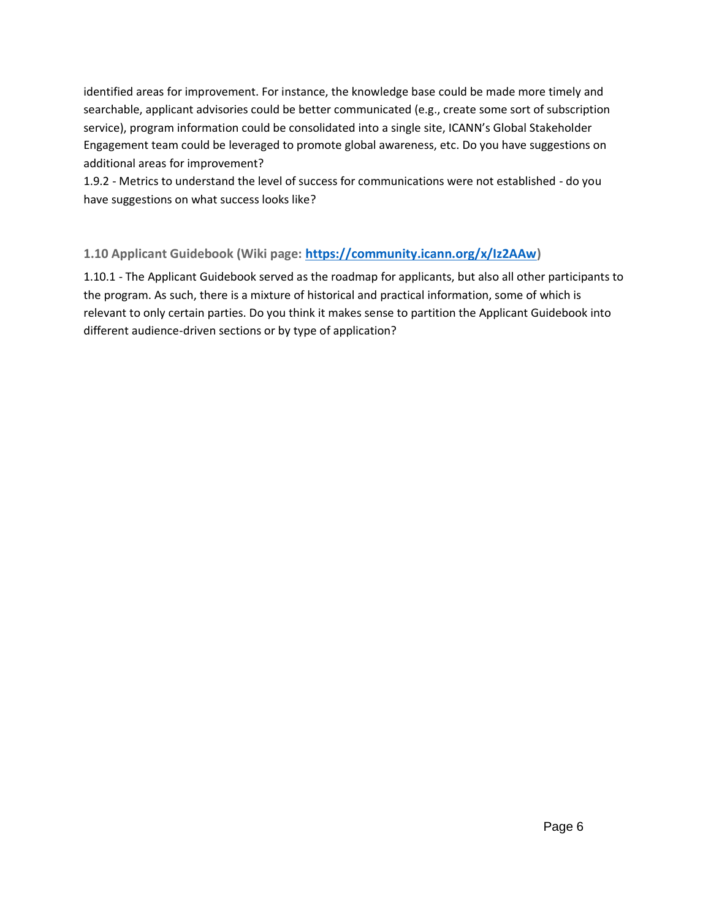identified areas for improvement. For instance, the knowledge base could be made more timely and searchable, applicant advisories could be better communicated (e.g., create some sort of subscription service), program information could be consolidated into a single site, ICANN's Global Stakeholder Engagement team could be leveraged to promote global awareness, etc. Do you have suggestions on additional areas for improvement?

1.9.2 - Metrics to understand the level of success for communications were not established - do you have suggestions on what success looks like?

## **1.10 Applicant Guidebook (Wiki page: [https://community.icann.org/x/Iz2AAw\)](https://community.icann.org/x/Iz2AAw)**

1.10.1 - The Applicant Guidebook served as the roadmap for applicants, but also all other participants to the program. As such, there is a mixture of historical and practical information, some of which is relevant to only certain parties. Do you think it makes sense to partition the Applicant Guidebook into different audience-driven sections or by type of application?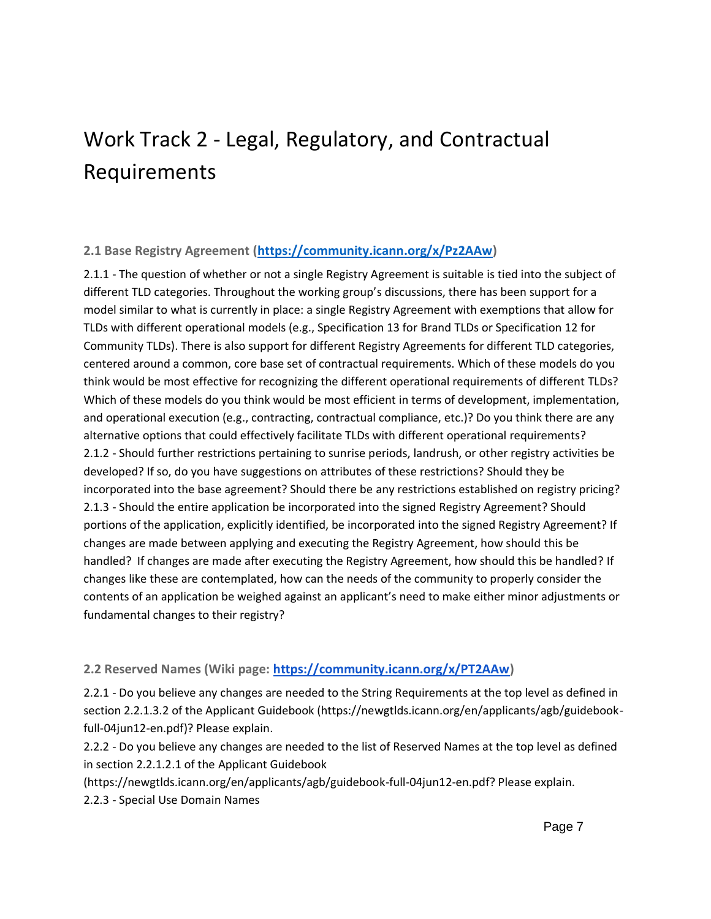## Work Track 2 - Legal, Regulatory, and Contractual Requirements

#### **2.1 Base Registry Agreement [\(https://community.icann.org/x/Pz2AAw\)](https://community.icann.org/x/Pz2AAw)**

2.1.1 - The question of whether or not a single Registry Agreement is suitable is tied into the subject of different TLD categories. Throughout the working group's discussions, there has been support for a model similar to what is currently in place: a single Registry Agreement with exemptions that allow for TLDs with different operational models (e.g., Specification 13 for Brand TLDs or Specification 12 for Community TLDs). There is also support for different Registry Agreements for different TLD categories, centered around a common, core base set of contractual requirements. Which of these models do you think would be most effective for recognizing the different operational requirements of different TLDs? Which of these models do you think would be most efficient in terms of development, implementation, and operational execution (e.g., contracting, contractual compliance, etc.)? Do you think there are any alternative options that could effectively facilitate TLDs with different operational requirements? 2.1.2 - Should further restrictions pertaining to sunrise periods, landrush, or other registry activities be developed? If so, do you have suggestions on attributes of these restrictions? Should they be incorporated into the base agreement? Should there be any restrictions established on registry pricing? 2.1.3 - Should the entire application be incorporated into the signed Registry Agreement? Should portions of the application, explicitly identified, be incorporated into the signed Registry Agreement? If changes are made between applying and executing the Registry Agreement, how should this be handled? If changes are made after executing the Registry Agreement, how should this be handled? If changes like these are contemplated, how can the needs of the community to properly consider the contents of an application be weighed against an applicant's need to make either minor adjustments or fundamental changes to their registry?

## **2.2 Reserved Names (Wiki page: [https://community.icann.org/x/PT2AAw\)](https://community.icann.org/x/PT2AAw)**

2.2.1 - Do you believe any changes are needed to the String Requirements at the top level as defined in section 2.2.1.3.2 of the Applicant Guidebook (https://newgtlds.icann.org/en/applicants/agb/guidebookfull-04jun12-en.pdf)? Please explain.

2.2.2 - Do you believe any changes are needed to the list of Reserved Names at the top level as defined in section 2.2.1.2.1 of the Applicant Guidebook

(https://newgtlds.icann.org/en/applicants/agb/guidebook-full-04jun12-en.pdf? Please explain. 2.2.3 - Special Use Domain Names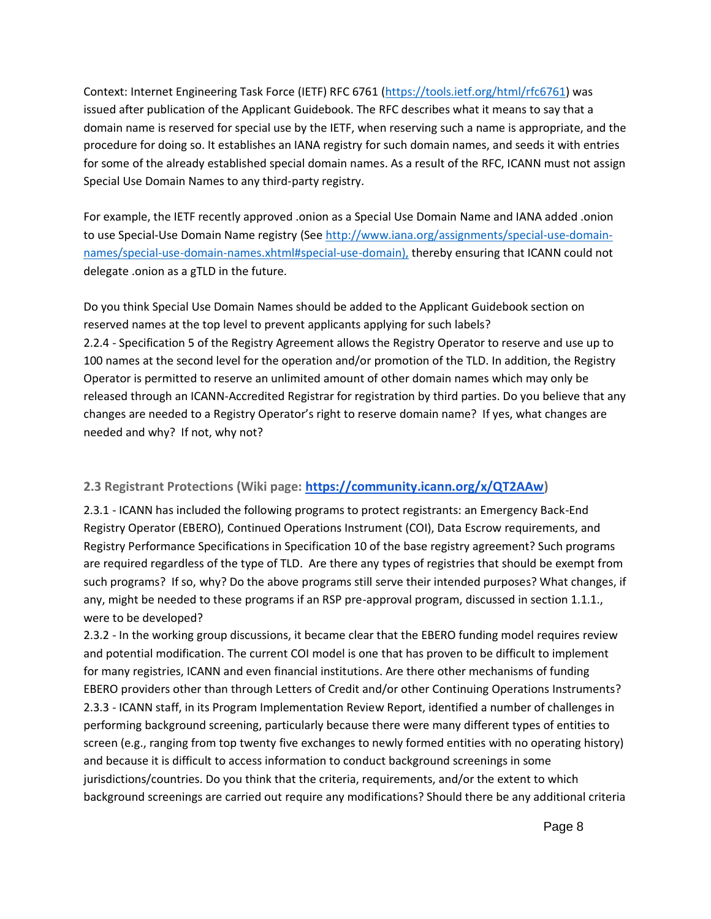Context: Internet Engineering Task Force (IETF) RFC 6761 [\(https://tools.ietf.org/html/rfc6761\)](https://tools.ietf.org/html/rfc6761) was issued after publication of the Applicant Guidebook. The RFC describes what it means to say that a domain name is reserved for special use by the IETF, when reserving such a name is appropriate, and the procedure for doing so. It establishes an IANA registry for such domain names, and seeds it with entries for some of the already established special domain names. As a result of the RFC, ICANN must not assign Special Use Domain Names to any third-party registry.

For example, the IETF recently approved .onion as a Special Use Domain Name and IANA added .onion to use Special-Use Domain Name registry (See [http://www.iana.org/assignments/special-use-domain](http://www.iana.org/assignments/special-use-domain-names/special-use-domain-names.xhtml#special-use-domain)[names/special-use-domain-names.xhtml#special-use-domain\)](http://www.iana.org/assignments/special-use-domain-names/special-use-domain-names.xhtml#special-use-domain), thereby ensuring that ICANN could not delegate .onion as a gTLD in the future.

Do you think Special Use Domain Names should be added to the Applicant Guidebook section on reserved names at the top level to prevent applicants applying for such labels? 2.2.4 - Specification 5 of the Registry Agreement allows the Registry Operator to reserve and use up to 100 names at the second level for the operation and/or promotion of the TLD. In addition, the Registry Operator is permitted to reserve an unlimited amount of other domain names which may only be released through an ICANN-Accredited Registrar for registration by third parties. Do you believe that any changes are needed to a Registry Operator's right to reserve domain name? If yes, what changes are needed and why? If not, why not?

## **2.3 Registrant Protections (Wiki page: [https://community.icann.org/x/QT2AAw\)](https://community.icann.org/x/QT2AAw)**

2.3.1 - ICANN has included the following programs to protect registrants: an Emergency Back-End Registry Operator (EBERO), Continued Operations Instrument (COI), Data Escrow requirements, and Registry Performance Specifications in Specification 10 of the base registry agreement? Such programs are required regardless of the type of TLD. Are there any types of registries that should be exempt from such programs? If so, why? Do the above programs still serve their intended purposes? What changes, if any, might be needed to these programs if an RSP pre-approval program, discussed in section 1.1.1., were to be developed?

2.3.2 - In the working group discussions, it became clear that the EBERO funding model requires review and potential modification. The current COI model is one that has proven to be difficult to implement for many registries, ICANN and even financial institutions. Are there other mechanisms of funding EBERO providers other than through Letters of Credit and/or other Continuing Operations Instruments? 2.3.3 - ICANN staff, in its Program Implementation Review Report, identified a number of challenges in performing background screening, particularly because there were many different types of entities to screen (e.g., ranging from top twenty five exchanges to newly formed entities with no operating history) and because it is difficult to access information to conduct background screenings in some jurisdictions/countries. Do you think that the criteria, requirements, and/or the extent to which background screenings are carried out require any modifications? Should there be any additional criteria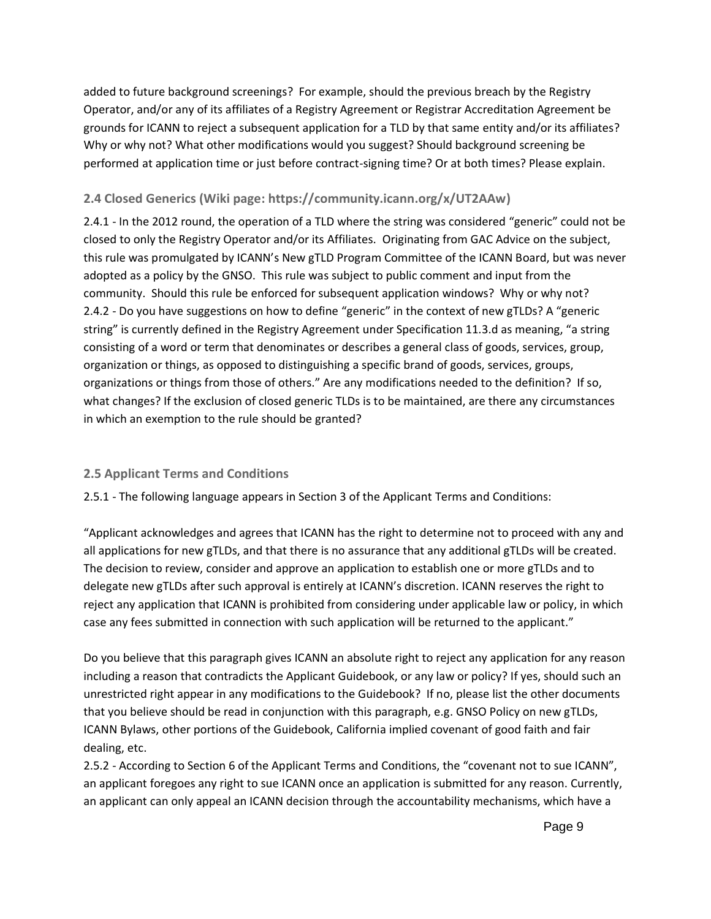added to future background screenings? For example, should the previous breach by the Registry Operator, and/or any of its affiliates of a Registry Agreement or Registrar Accreditation Agreement be grounds for ICANN to reject a subsequent application for a TLD by that same entity and/or its affiliates? Why or why not? What other modifications would you suggest? Should background screening be performed at application time or just before contract-signing time? Or at both times? Please explain.

#### **2.4 Closed Generics (Wiki page: [https://community.icann.org/x/UT2AAw\)](https://community.icann.org/x/UT2AAw)**

2.4.1 - In the 2012 round, the operation of a TLD where the string was considered "generic" could not be closed to only the Registry Operator and/or its Affiliates. Originating from GAC Advice on the subject, this rule was promulgated by ICANN's New gTLD Program Committee of the ICANN Board, but was never adopted as a policy by the GNSO. This rule was subject to public comment and input from the community. Should this rule be enforced for subsequent application windows? Why or why not? 2.4.2 - Do you have suggestions on how to define "generic" in the context of new gTLDs? A "generic string" is currently defined in the Registry Agreement under Specification 11.3.d as meaning, "a string consisting of a word or term that denominates or describes a general class of goods, services, group, organization or things, as opposed to distinguishing a specific brand of goods, services, groups, organizations or things from those of others." Are any modifications needed to the definition? If so, what changes? If the exclusion of closed generic TLDs is to be maintained, are there any circumstances in which an exemption to the rule should be granted?

#### **2.5 Applicant Terms and Conditions**

2.5.1 - The following language appears in Section 3 of the Applicant Terms and Conditions:

"Applicant acknowledges and agrees that ICANN has the right to determine not to proceed with any and all applications for new gTLDs, and that there is no assurance that any additional gTLDs will be created. The decision to review, consider and approve an application to establish one or more gTLDs and to delegate new gTLDs after such approval is entirely at ICANN's discretion. ICANN reserves the right to reject any application that ICANN is prohibited from considering under applicable law or policy, in which case any fees submitted in connection with such application will be returned to the applicant."

Do you believe that this paragraph gives ICANN an absolute right to reject any application for any reason including a reason that contradicts the Applicant Guidebook, or any law or policy? If yes, should such an unrestricted right appear in any modifications to the Guidebook? If no, please list the other documents that you believe should be read in conjunction with this paragraph, e.g. GNSO Policy on new gTLDs, ICANN Bylaws, other portions of the Guidebook, California implied covenant of good faith and fair dealing, etc.

2.5.2 - According to Section 6 of the Applicant Terms and Conditions, the "covenant not to sue ICANN", an applicant foregoes any right to sue ICANN once an application is submitted for any reason. Currently, an applicant can only appeal an ICANN decision through the accountability mechanisms, which have a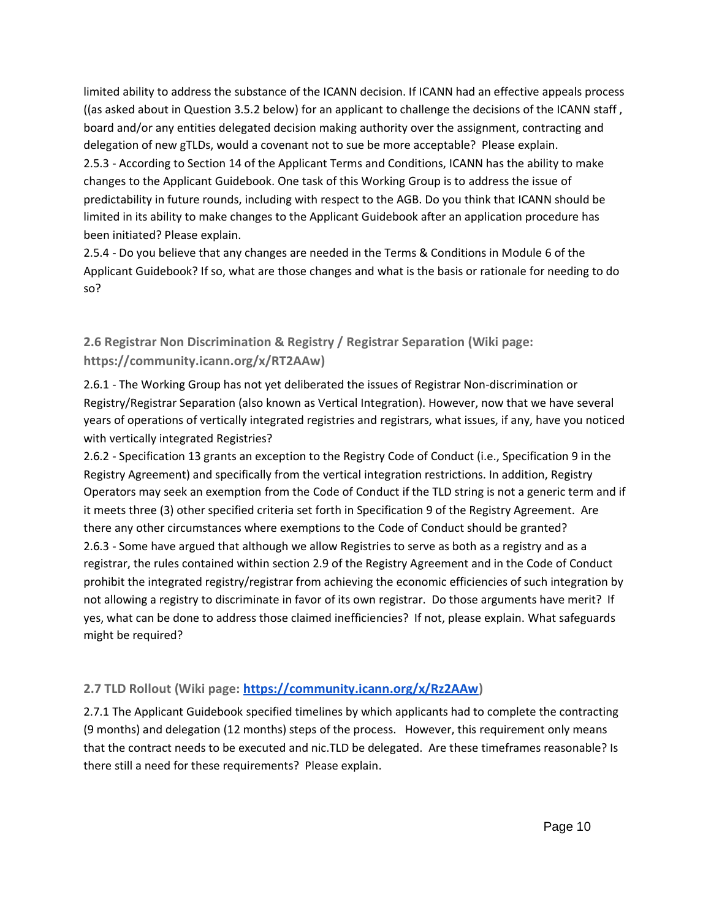limited ability to address the substance of the ICANN decision. If ICANN had an effective appeals process ((as asked about in Question 3.5.2 below) for an applicant to challenge the decisions of the ICANN staff , board and/or any entities delegated decision making authority over the assignment, contracting and delegation of new gTLDs, would a covenant not to sue be more acceptable? Please explain. 2.5.3 - According to Section 14 of the Applicant Terms and Conditions, ICANN has the ability to make changes to the Applicant Guidebook. One task of this Working Group is to address the issue of predictability in future rounds, including with respect to the AGB. Do you think that ICANN should be limited in its ability to make changes to the Applicant Guidebook after an application procedure has been initiated? Please explain.

2.5.4 - Do you believe that any changes are needed in the Terms & Conditions in Module 6 of the Applicant Guidebook? If so, what are those changes and what is the basis or rationale for needing to do so?

## **2.6 Registrar Non Discrimination & Registry / Registrar Separation (Wiki page: [https://community.icann.org/x/RT2AAw\)](https://community.icann.org/x/RT2AAw)**

2.6.1 - The Working Group has not yet deliberated the issues of Registrar Non-discrimination or Registry/Registrar Separation (also known as Vertical Integration). However, now that we have several years of operations of vertically integrated registries and registrars, what issues, if any, have you noticed with vertically integrated Registries?

2.6.2 - Specification 13 grants an exception to the Registry Code of Conduct (i.e., Specification 9 in the Registry Agreement) and specifically from the vertical integration restrictions. In addition, Registry Operators may seek an exemption from the Code of Conduct if the TLD string is not a generic term and if it meets three (3) other specified criteria set forth in Specification 9 of the Registry Agreement. Are there any other circumstances where exemptions to the Code of Conduct should be granted? 2.6.3 - Some have argued that although we allow Registries to serve as both as a registry and as a registrar, the rules contained within section 2.9 of the Registry Agreement and in the Code of Conduct prohibit the integrated registry/registrar from achieving the economic efficiencies of such integration by not allowing a registry to discriminate in favor of its own registrar. Do those arguments have merit? If yes, what can be done to address those claimed inefficiencies? If not, please explain. What safeguards might be required?

## **2.7 TLD Rollout (Wiki page: [https://community.icann.org/x/Rz2AAw\)](https://community.icann.org/x/Rz2AAw)**

2.7.1 The Applicant Guidebook specified timelines by which applicants had to complete the contracting (9 months) and delegation (12 months) steps of the process. However, this requirement only means that the contract needs to be executed and nic.TLD be delegated. Are these timeframes reasonable? Is there still a need for these requirements? Please explain.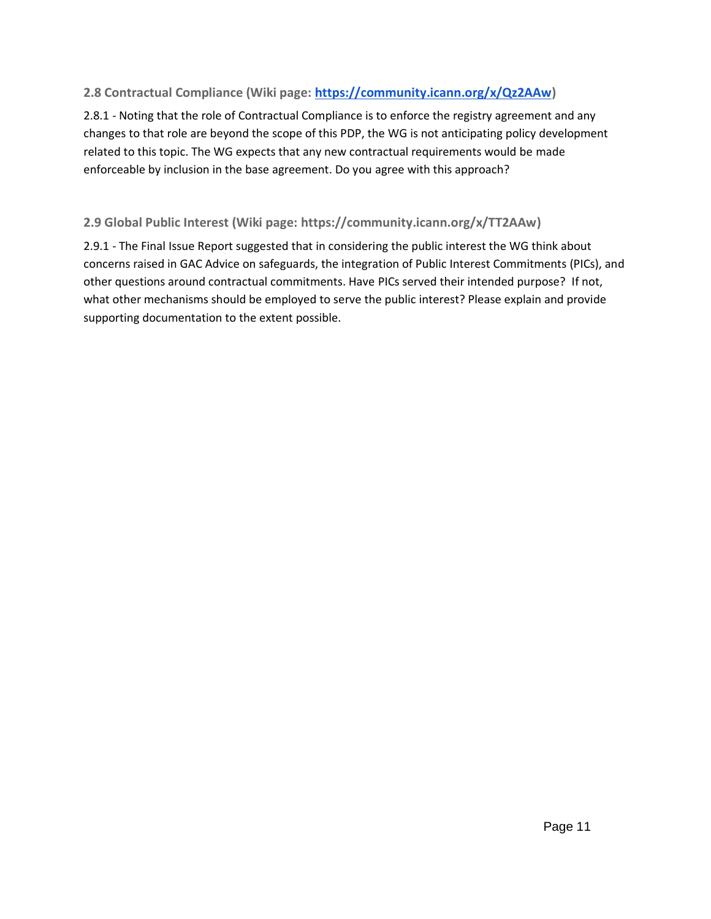## **2.8 Contractual Compliance (Wiki page: [https://community.icann.org/x/Qz2AAw\)](https://community.icann.org/x/Qz2AAw)**

2.8.1 - Noting that the role of Contractual Compliance is to enforce the registry agreement and any changes to that role are beyond the scope of this PDP, the WG is not anticipating policy development related to this topic. The WG expects that any new contractual requirements would be made enforceable by inclusion in the base agreement. Do you agree with this approach?

## **2.9 Global Public Interest (Wiki page: [https://community.icann.org/x/TT2AAw\)](https://community.icann.org/x/TT2AAw)**

2.9.1 - The Final Issue Report suggested that in considering the public interest the WG think about concerns raised in GAC Advice on safeguards, the integration of Public Interest Commitments (PICs), and other questions around contractual commitments. Have PICs served their intended purpose? If not, what other mechanisms should be employed to serve the public interest? Please explain and provide supporting documentation to the extent possible.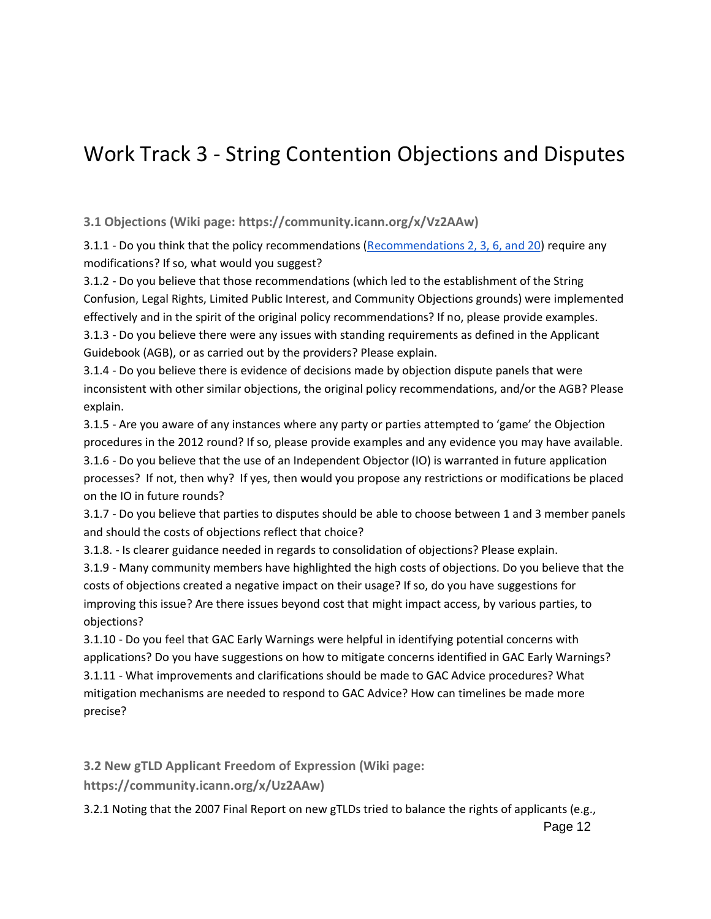## Work Track 3 - String Contention Objections and Disputes

**3.1 Objections (Wiki page: https://community.icann.org/x/Vz2AAw)**

3.1.1 - Do you think that the policy recommendations [\(Recommendations 2, 3, 6, and 20\)](https://gnso.icann.org/en/issues/new-gtlds/pdp-dec05-fr-parta-08aug07.htm) require any modifications? If so, what would you suggest?

3.1.2 - Do you believe that those recommendations (which led to the establishment of the String Confusion, Legal Rights, Limited Public Interest, and Community Objections grounds) were implemented effectively and in the spirit of the original policy recommendations? If no, please provide examples. 3.1.3 - Do you believe there were any issues with standing requirements as defined in the Applicant Guidebook (AGB), or as carried out by the providers? Please explain.

3.1.4 - Do you believe there is evidence of decisions made by objection dispute panels that were inconsistent with other similar objections, the original policy recommendations, and/or the AGB? Please explain.

3.1.5 - Are you aware of any instances where any party or parties attempted to 'game' the Objection procedures in the 2012 round? If so, please provide examples and any evidence you may have available. 3.1.6 - Do you believe that the use of an Independent Objector (IO) is warranted in future application processes? If not, then why? If yes, then would you propose any restrictions or modifications be placed on the IO in future rounds?

3.1.7 - Do you believe that parties to disputes should be able to choose between 1 and 3 member panels and should the costs of objections reflect that choice?

3.1.8. - Is clearer guidance needed in regards to consolidation of objections? Please explain.

3.1.9 - Many community members have highlighted the high costs of objections. Do you believe that the costs of objections created a negative impact on their usage? If so, do you have suggestions for improving this issue? Are there issues beyond cost that might impact access, by various parties, to objections?

3.1.10 - Do you feel that GAC Early Warnings were helpful in identifying potential concerns with applications? Do you have suggestions on how to mitigate concerns identified in GAC Early Warnings? 3.1.11 - What improvements and clarifications should be made to GAC Advice procedures? What mitigation mechanisms are needed to respond to GAC Advice? How can timelines be made more precise?

**3.2 New gTLD Applicant Freedom of Expression (Wiki page:** 

**https://community.icann.org/x/Uz2AAw)**

3.2.1 Noting that the 2007 Final Report on new gTLDs tried to balance the rights of applicants (e.g.,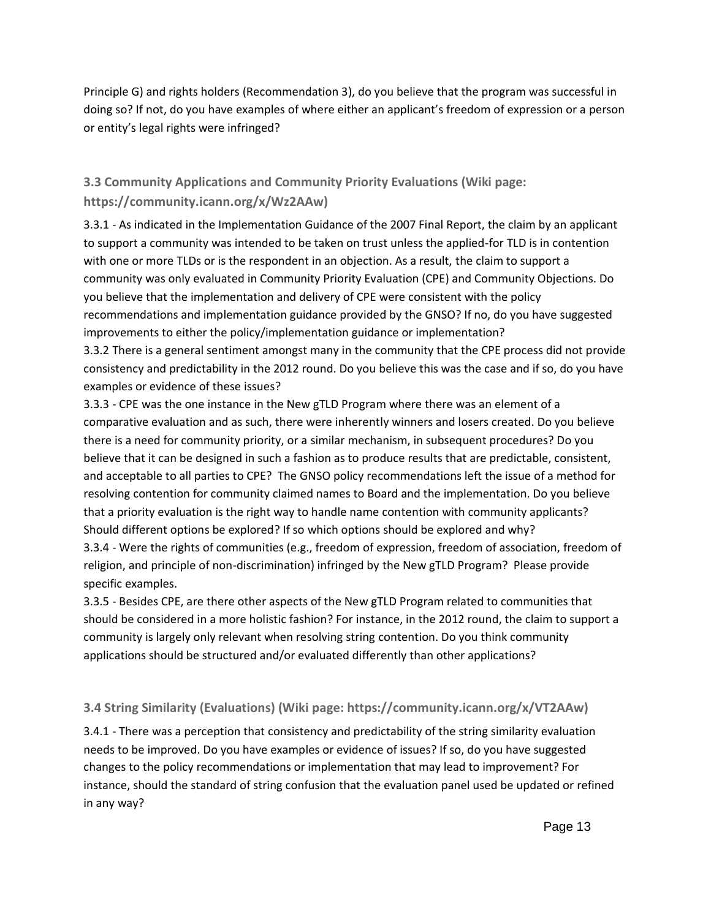Principle G) and rights holders (Recommendation 3), do you believe that the program was successful in doing so? If not, do you have examples of where either an applicant's freedom of expression or a person or entity's legal rights were infringed?

## **3.3 Community Applications and Community Priority Evaluations (Wiki page: https://community.icann.org/x/Wz2AAw)**

3.3.1 - As indicated in the Implementation Guidance of the 2007 Final Report, the claim by an applicant to support a community was intended to be taken on trust unless the applied-for TLD is in contention with one or more TLDs or is the respondent in an objection. As a result, the claim to support a community was only evaluated in Community Priority Evaluation (CPE) and Community Objections. Do you believe that the implementation and delivery of CPE were consistent with the policy recommendations and implementation guidance provided by the GNSO? If no, do you have suggested improvements to either the policy/implementation guidance or implementation?

3.3.2 There is a general sentiment amongst many in the community that the CPE process did not provide consistency and predictability in the 2012 round. Do you believe this was the case and if so, do you have examples or evidence of these issues?

3.3.3 - CPE was the one instance in the New gTLD Program where there was an element of a comparative evaluation and as such, there were inherently winners and losers created. Do you believe there is a need for community priority, or a similar mechanism, in subsequent procedures? Do you believe that it can be designed in such a fashion as to produce results that are predictable, consistent, and acceptable to all parties to CPE? The GNSO policy recommendations left the issue of a method for resolving contention for community claimed names to Board and the implementation. Do you believe that a priority evaluation is the right way to handle name contention with community applicants? Should different options be explored? If so which options should be explored and why? 3.3.4 - Were the rights of communities (e.g., freedom of expression, freedom of association, freedom of religion, and principle of non-discrimination) infringed by the New gTLD Program? Please provide specific examples.

3.3.5 - Besides CPE, are there other aspects of the New gTLD Program related to communities that should be considered in a more holistic fashion? For instance, in the 2012 round, the claim to support a community is largely only relevant when resolving string contention. Do you think community applications should be structured and/or evaluated differently than other applications?

## **3.4 String Similarity (Evaluations) (Wiki page: https://community.icann.org/x/VT2AAw)**

3.4.1 - There was a perception that consistency and predictability of the string similarity evaluation needs to be improved. Do you have examples or evidence of issues? If so, do you have suggested changes to the policy recommendations or implementation that may lead to improvement? For instance, should the standard of string confusion that the evaluation panel used be updated or refined in any way?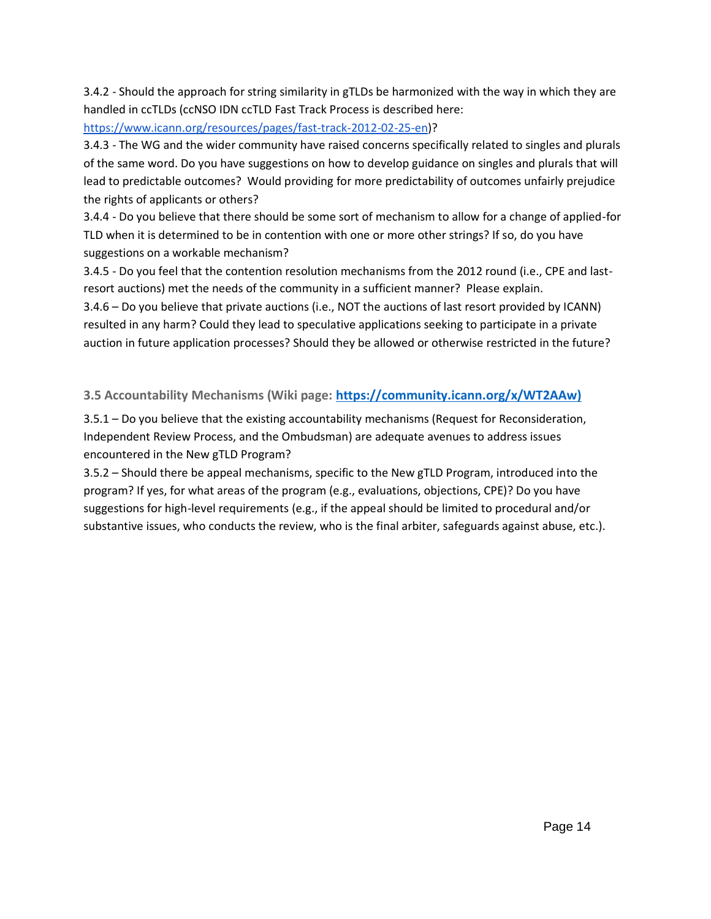3.4.2 - Should the approach for string similarity in gTLDs be harmonized with the way in which they are handled in ccTLDs (ccNSO IDN ccTLD Fast Track Process is described here:

[https://www.icann.org/resources/pages/fast-track-2012-02-25-en\)](https://www.icann.org/resources/pages/fast-track-2012-02-25-en)?

3.4.3 - The WG and the wider community have raised concerns specifically related to singles and plurals of the same word. Do you have suggestions on how to develop guidance on singles and plurals that will lead to predictable outcomes? Would providing for more predictability of outcomes unfairly prejudice the rights of applicants or others?

3.4.4 - Do you believe that there should be some sort of mechanism to allow for a change of applied-for TLD when it is determined to be in contention with one or more other strings? If so, do you have suggestions on a workable mechanism?

3.4.5 - Do you feel that the contention resolution mechanisms from the 2012 round (i.e., CPE and lastresort auctions) met the needs of the community in a sufficient manner? Please explain.

3.4.6 – Do you believe that private auctions (i.e., NOT the auctions of last resort provided by ICANN) resulted in any harm? Could they lead to speculative applications seeking to participate in a private auction in future application processes? Should they be allowed or otherwise restricted in the future?

## **3.5 Accountability Mechanisms (Wiki page: [https://community.icann.org/x/WT2AAw\)](https://community.icann.org/x/WT2AAw))**

3.5.1 – Do you believe that the existing accountability mechanisms (Request for Reconsideration, Independent Review Process, and the Ombudsman) are adequate avenues to address issues encountered in the New gTLD Program?

3.5.2 – Should there be appeal mechanisms, specific to the New gTLD Program, introduced into the program? If yes, for what areas of the program (e.g., evaluations, objections, CPE)? Do you have suggestions for high-level requirements (e.g., if the appeal should be limited to procedural and/or substantive issues, who conducts the review, who is the final arbiter, safeguards against abuse, etc.).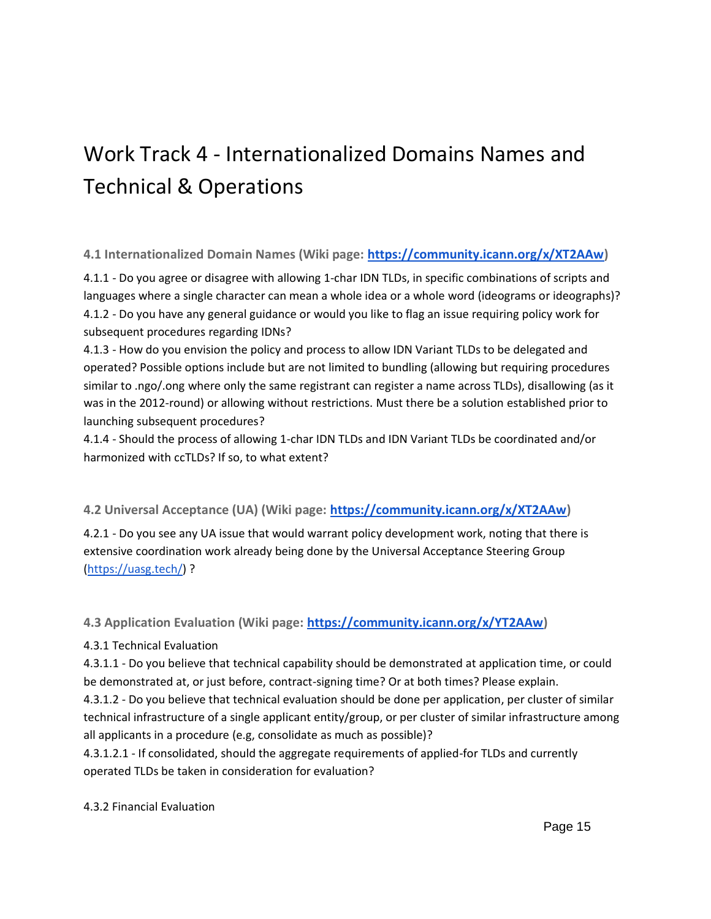# Work Track 4 - Internationalized Domains Names and Technical & Operations

## **4.1 Internationalized Domain Names (Wiki page: [https://community.icann.org/x/XT2AAw\)](https://community.icann.org/x/XT2AAw)**

4.1.1 - Do you agree or disagree with allowing 1-char IDN TLDs, in specific combinations of scripts and languages where a single character can mean a whole idea or a whole word (ideograms or ideographs)? 4.1.2 - Do you have any general guidance or would you like to flag an issue requiring policy work for subsequent procedures regarding IDNs?

4.1.3 - How do you envision the policy and process to allow IDN Variant TLDs to be delegated and operated? Possible options include but are not limited to bundling (allowing but requiring procedures similar to .ngo/.ong where only the same registrant can register a name across TLDs), disallowing (as it was in the 2012-round) or allowing without restrictions. Must there be a solution established prior to launching subsequent procedures?

4.1.4 - Should the process of allowing 1-char IDN TLDs and IDN Variant TLDs be coordinated and/or harmonized with ccTLDs? If so, to what extent?

## **4.2 Universal Acceptance (UA) (Wiki page: [https://community.icann.org/x/XT2AAw\)](https://community.icann.org/x/XT2AAw)**

4.2.1 - Do you see any UA issue that would warrant policy development work, noting that there is extensive coordination work already being done by the Universal Acceptance Steering Group [\(https://uasg.tech/\)](https://uasg.tech/) ?

## **4.3 Application Evaluation (Wiki page: [https://community.icann.org/x/YT2AAw\)](https://community.icann.org/x/YT2AAw)**

#### 4.3.1 Technical Evaluation

4.3.1.1 - Do you believe that technical capability should be demonstrated at application time, or could be demonstrated at, or just before, contract-signing time? Or at both times? Please explain.

4.3.1.2 - Do you believe that technical evaluation should be done per application, per cluster of similar technical infrastructure of a single applicant entity/group, or per cluster of similar infrastructure among all applicants in a procedure (e.g, consolidate as much as possible)?

4.3.1.2.1 - If consolidated, should the aggregate requirements of applied-for TLDs and currently operated TLDs be taken in consideration for evaluation?

#### 4.3.2 Financial Evaluation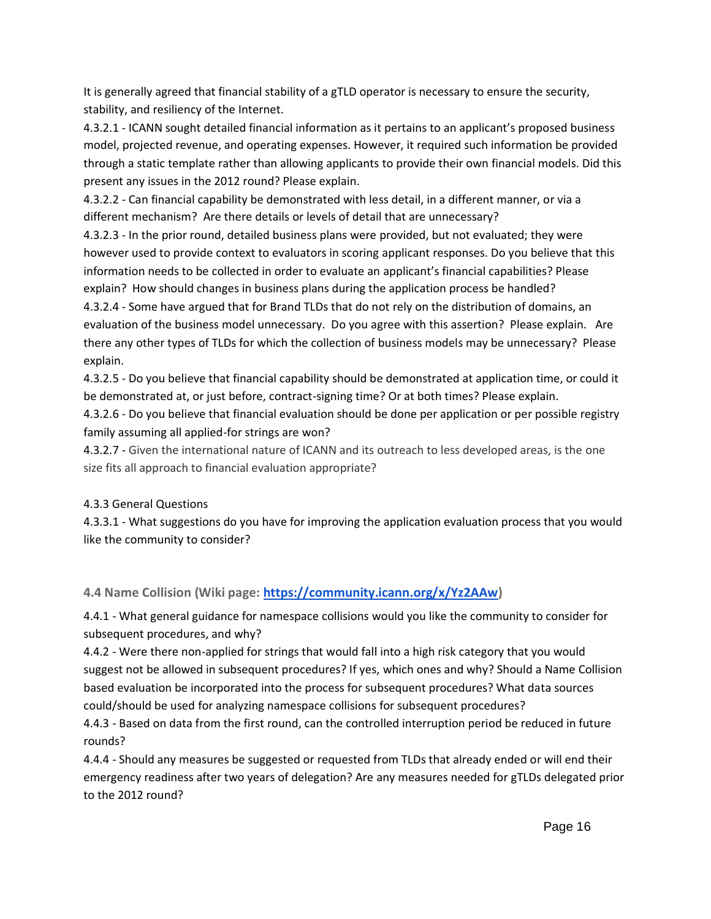It is generally agreed that financial stability of a gTLD operator is necessary to ensure the security, stability, and resiliency of the Internet.

4.3.2.1 - ICANN sought detailed financial information as it pertains to an applicant's proposed business model, projected revenue, and operating expenses. However, it required such information be provided through a static template rather than allowing applicants to provide their own financial models. Did this present any issues in the 2012 round? Please explain.

4.3.2.2 - Can financial capability be demonstrated with less detail, in a different manner, or via a different mechanism? Are there details or levels of detail that are unnecessary?

4.3.2.3 - In the prior round, detailed business plans were provided, but not evaluated; they were however used to provide context to evaluators in scoring applicant responses. Do you believe that this information needs to be collected in order to evaluate an applicant's financial capabilities? Please explain? How should changes in business plans during the application process be handled?

4.3.2.4 - Some have argued that for Brand TLDs that do not rely on the distribution of domains, an evaluation of the business model unnecessary. Do you agree with this assertion? Please explain. Are there any other types of TLDs for which the collection of business models may be unnecessary? Please explain.

4.3.2.5 - Do you believe that financial capability should be demonstrated at application time, or could it be demonstrated at, or just before, contract-signing time? Or at both times? Please explain.

4.3.2.6 - Do you believe that financial evaluation should be done per application or per possible registry family assuming all applied-for strings are won?

4.3.2.7 - Given the international nature of ICANN and its outreach to less developed areas, is the one size fits all approach to financial evaluation appropriate?

## 4.3.3 General Questions

4.3.3.1 - What suggestions do you have for improving the application evaluation process that you would like the community to consider?

## **4.4 Name Collision (Wiki page: [https://community.icann.org/x/Yz2AAw\)](https://community.icann.org/x/Yz2AAw)**

4.4.1 - What general guidance for namespace collisions would you like the community to consider for subsequent procedures, and why?

4.4.2 - Were there non-applied for strings that would fall into a high risk category that you would suggest not be allowed in subsequent procedures? If yes, which ones and why? Should a Name Collision based evaluation be incorporated into the process for subsequent procedures? What data sources could/should be used for analyzing namespace collisions for subsequent procedures?

4.4.3 - Based on data from the first round, can the controlled interruption period be reduced in future rounds?

4.4.4 - Should any measures be suggested or requested from TLDs that already ended or will end their emergency readiness after two years of delegation? Are any measures needed for gTLDs delegated prior to the 2012 round?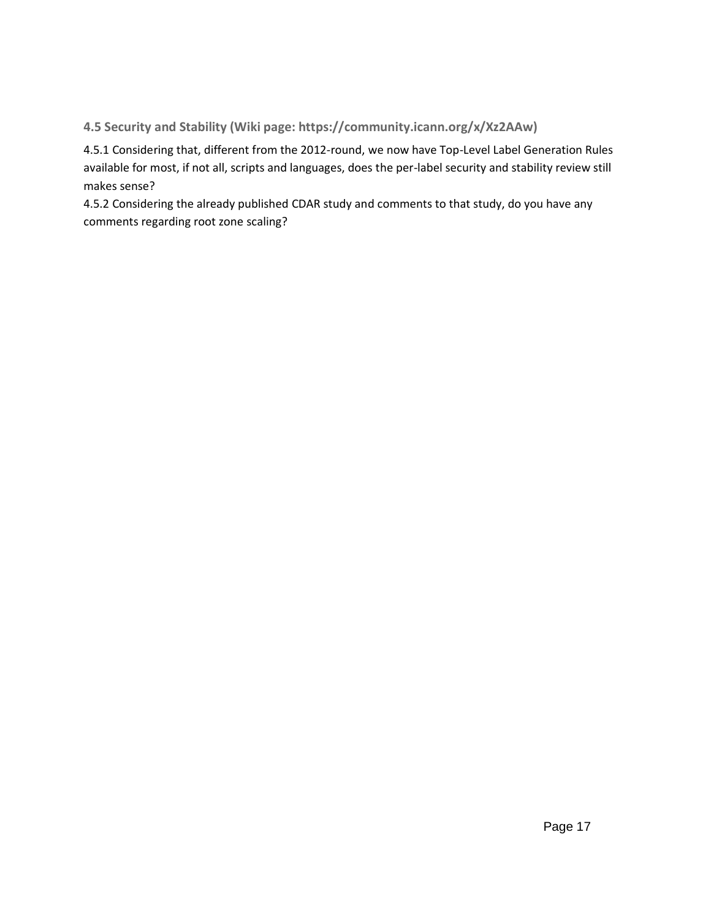## **4.5 Security and Stability (Wiki page: https://community.icann.org/x/Xz2AAw)**

4.5.1 Considering that, different from the 2012-round, we now have Top-Level Label Generation Rules available for most, if not all, scripts and languages, does the per-label security and stability review still makes sense?

4.5.2 Considering the already published CDAR study and comments to that study, do you have any comments regarding root zone scaling?